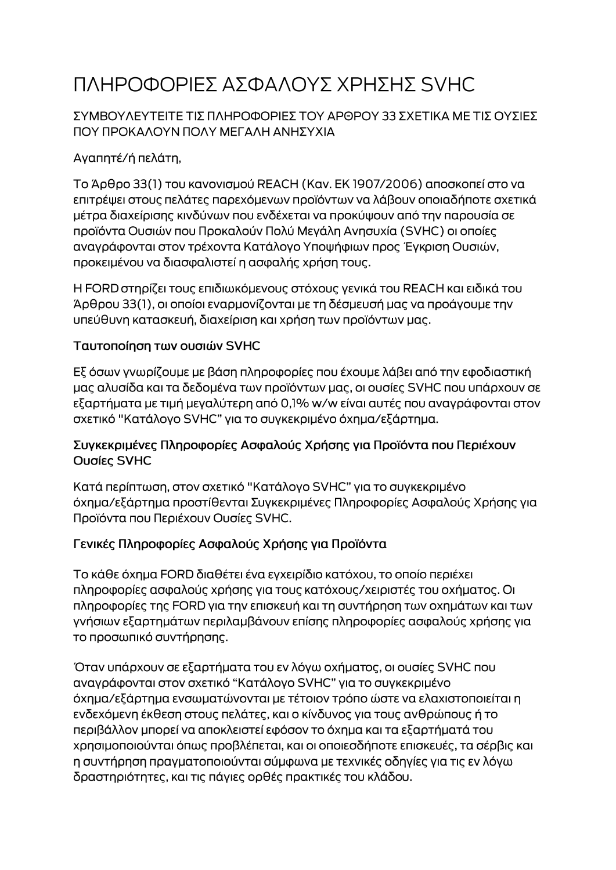# ΠΛΗΡΟΦΟΡΙΕΣ ΑΣΦΑΛΟΥΣ ΧΡΗΣΗΣ SVHC

### ΣΥΜΒΟΥΛΕΥΤΕΙΤΕ ΤΙΣ ΠΛΗΡΟΦΟΡΙΕΣ ΤΟΥ ΑΡΘΡΟΥ 33 ΣΧΕΤΙΚΑ ΜΕ ΤΙΣ ΟΥΣΙΕΣ ΠΟΥ ΠΡΟΚΑΛΟΥΝ ΠΟΛΥ ΜΕΓΑΛΗ ΑΝΗΣΥΧΙΑ

# Αγαπητέ/ή πελάτη,

Το Άρθρο 33(1) του κανονισμού REACH (Καν. ΕΚ 1907/2006) αποσκοπεί στο να επιτρέψει στους πελάτες παρεχόμενων προϊόντων να λάβουν οποιαδήποτε σχετικά μέτρα διαχείρισης κινδύνων που ενδέχεται να προκύψουν από την παρουσία σε προϊόντα Ουσιών που Προκαλούν Πολύ Μεγάλη Ανησυχία (SVHC) οι οποίες αναγράφονται στον τρέχοντα Κατάλογο Υποψήφιων προς Έγκριση Ουσιών, προκειμένου να διασφαλιστεί η ασφαλής χρήση τους.

Η FORD στηρίζει τους επιδιωκόμενους στόχους γενικά του REACH και ειδικά του Άρθρου 33(1), οι οποίοι εναρμονίζονται με τη δέσμευσή μας να προάγουμε την υπεύθυνη κατασκευή, διαχείριση και χρήση των προϊόντων μας.

#### Ταυτοποίηση των ουσιών SVHC

Εξ όσων γνωρίζουμε με βάση πληροφορίες που έχουμε λάβει από την εφοδιαστική μας αλυσίδα και τα δεδομένα των προϊόντων μας, οι ουσίες SVHC που υπάρχουν σε εξαρτήματα με τιμή μεγαλύτερη από 0,1% w/w είναι αυτές που αναγράφονται στον σχετικό "Κατάλογο SVHC" για το συγκεκριμένο όχημα/εξάρτημα.

#### Συγκεκριμένες Πληροφορίες Ασφαλούς Χρήσης για Προϊόντα που Περιέχουν Ουσίες SVHC

Κατά περίπτωση, στον σχετικό "Κατάλογο SVHC" για το συγκεκριμένο όχημα/εξάρτημα προστίθενται Συγκεκριμένες Πληροφορίες Ασφαλούς Χρήσης για Προϊόντα που Περιέχουν Ουσίες SVHC.

## Γενικές Πληροφορίες Ασφαλούς Χρήσης για Προϊόντα

Το κάθε όχημα FORD διαθέτει ένα εγχειρίδιο κατόχου, το οποίο περιέχει πληροφορίες ασφαλούς χρήσης για τους κατόχους/χειριστές του οχήματος. Οι πληροφορίες της FORD για την επισκευή και τη συντήρηση των οχημάτων και των γνήσιων εξαρτημάτων περιλαμβάνουν επίσης πληροφορίες ασφαλούς χρήσης για το προσωπικό συντήρησης.

Όταν υπάρχουν σε εξαρτήματα του εν λόγω οχήματος, οι ουσίες SVHC που αναγράφονται στον σχετικό "Κατάλογο SVHC" για το συγκεκριμένο όχημα/εξάρτημα ενσωματώνονται με τέτοιον τρόπο ώστε να ελαχιστοποιείται η ενδεχόμενη έκθεση στους πελάτες, και ο κίνδυνος για τους ανθρώπους ή το περιβάλλον μπορεί να αποκλειστεί εφόσον το όχημα και τα εξαρτήματά του χρησιμοποιούνται όπως προβλέπεται, και οι οποιεσδήποτε επισκευές, τα σέρβις και η συντήρηση πραγματοποιούνται σύμφωνα με τεχνικές οδηγίες για τις εν λόγω δραστηριότητες, και τις πάγιες ορθές πρακτικές του κλάδου.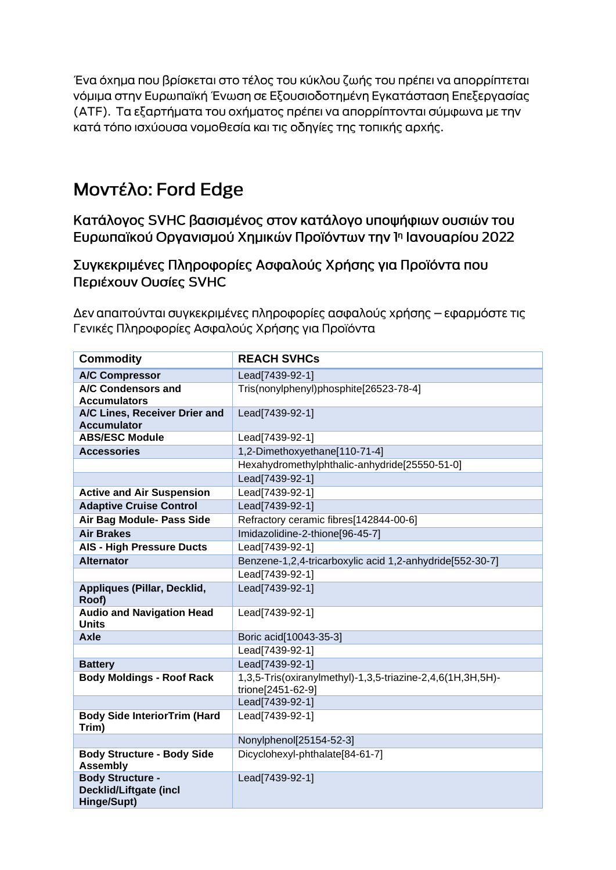Ένα όχημα που βρίσκεται στο τέλος του κύκλου ζωής του πρέπει να απορρίπτεται νόμιμα στην Ευρωπαϊκή Ένωση σε Εξουσιοδοτημένη Εγκατάσταση Επεξεργασίας (ΑΤΕ). Τα εξαρτήματα του οχήματος πρέπει να απορρίπτονται σύμφωνα με την κατά τόπο ισχύουσα νομοθεσία και τις οδηγίες της τοπικής αρχής.

# Μοντέλο: Ford Edge

Κατάλογος SVHC βασισμένος στον κατάλογο υποψήφιων ουσιών του Ευρωπαϊκού Οργανισμού Χημικών Προϊόντων την 1η Ιανουαρίου 2022

Συγκεκριμένες Πληροφορίες Ασφαλούς Χρήσης για Προϊόντα που Περιέχουν Ουσίες SVHC

Δεν απαιτούνται συγκεκριμένες πληροφορίες ασφαλούς χρήσης – εφαρμόστε τις Γενικές Πληροφορίες Ασφαλούς Χρήσης για Προϊόντα

| <b>Commodity</b>                                                        | <b>REACH SVHCs</b>                                                              |
|-------------------------------------------------------------------------|---------------------------------------------------------------------------------|
| <b>A/C Compressor</b>                                                   | Lead[7439-92-1]                                                                 |
| A/C Condensors and<br><b>Accumulators</b>                               | Tris(nonylphenyl)phosphite[26523-78-4]                                          |
| A/C Lines, Receiver Drier and<br><b>Accumulator</b>                     | Lead[7439-92-1]                                                                 |
| <b>ABS/ESC Module</b>                                                   | Lead[7439-92-1]                                                                 |
| <b>Accessories</b>                                                      | 1,2-Dimethoxyethane[110-71-4]                                                   |
|                                                                         | Hexahydromethylphthalic-anhydride[25550-51-0]                                   |
|                                                                         | Lead[7439-92-1]                                                                 |
| <b>Active and Air Suspension</b>                                        | Lead[7439-92-1]                                                                 |
| <b>Adaptive Cruise Control</b>                                          | Lead[7439-92-1]                                                                 |
| Air Bag Module- Pass Side                                               | Refractory ceramic fibres[142844-00-6]                                          |
| <b>Air Brakes</b>                                                       | Imidazolidine-2-thione[96-45-7]                                                 |
| <b>AIS - High Pressure Ducts</b>                                        | Lead[7439-92-1]                                                                 |
| <b>Alternator</b>                                                       | Benzene-1,2,4-tricarboxylic acid 1,2-anhydride[552-30-7]                        |
|                                                                         | Lead[7439-92-1]                                                                 |
| Appliques (Pillar, Decklid,<br>Roof)                                    | Lead[7439-92-1]                                                                 |
| <b>Audio and Navigation Head</b><br><b>Units</b>                        | Lead[7439-92-1]                                                                 |
| <b>Axle</b>                                                             | Boric acid[10043-35-3]                                                          |
|                                                                         | Lead[7439-92-1]                                                                 |
| <b>Battery</b>                                                          | Lead[7439-92-1]                                                                 |
| <b>Body Moldings - Roof Rack</b>                                        | 1,3,5-Tris(oxiranylmethyl)-1,3,5-triazine-2,4,6(1H,3H,5H)-<br>trione[2451-62-9] |
|                                                                         | Lead[7439-92-1]                                                                 |
| <b>Body Side InteriorTrim (Hard</b><br>Trim)                            | Lead[7439-92-1]                                                                 |
|                                                                         | Nonylphenol[25154-52-3]                                                         |
| <b>Body Structure - Body Side</b><br><b>Assembly</b>                    | Dicyclohexyl-phthalate[84-61-7]                                                 |
| <b>Body Structure -</b><br><b>Decklid/Liftgate (incl</b><br>Hinge/Supt) | Lead[7439-92-1]                                                                 |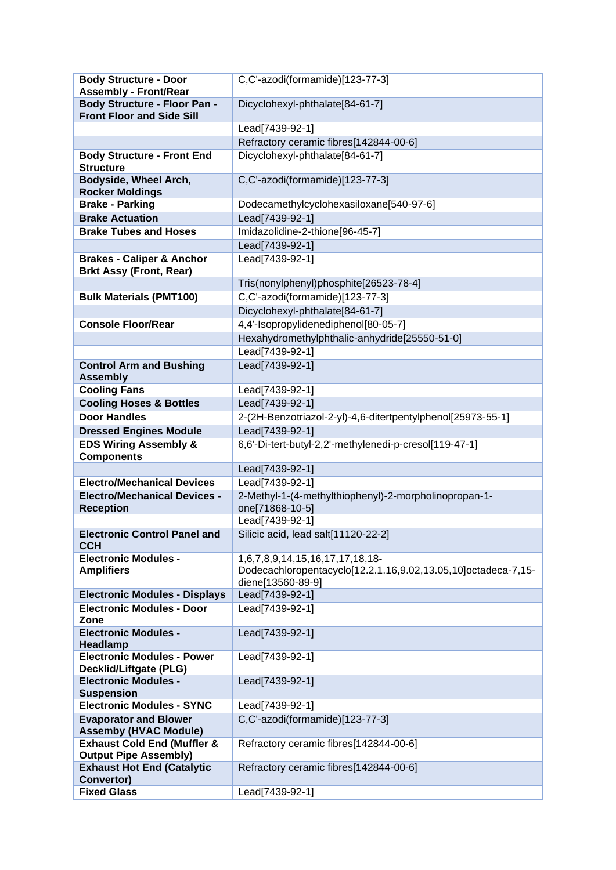| <b>Body Structure - Door</b><br><b>Assembly - Front/Rear</b>             | C,C'-azodi(formamide)[123-77-3]                                          |
|--------------------------------------------------------------------------|--------------------------------------------------------------------------|
| <b>Body Structure - Floor Pan -</b>                                      | Dicyclohexyl-phthalate[84-61-7]                                          |
| <b>Front Floor and Side Sill</b>                                         |                                                                          |
|                                                                          | Lead[7439-92-1]                                                          |
|                                                                          | Refractory ceramic fibres[142844-00-6]                                   |
| <b>Body Structure - Front End</b><br><b>Structure</b>                    | Dicyclohexyl-phthalate[84-61-7]                                          |
| Bodyside, Wheel Arch,<br><b>Rocker Moldings</b>                          | C,C'-azodi(formamide)[123-77-3]                                          |
| <b>Brake - Parking</b>                                                   | Dodecamethylcyclohexasiloxane[540-97-6]                                  |
| <b>Brake Actuation</b>                                                   | Lead[7439-92-1]                                                          |
| <b>Brake Tubes and Hoses</b>                                             | Imidazolidine-2-thione[96-45-7]                                          |
|                                                                          | Lead[7439-92-1]                                                          |
| <b>Brakes - Caliper &amp; Anchor</b><br><b>Brkt Assy (Front, Rear)</b>   | Lead[7439-92-1]                                                          |
|                                                                          | Tris(nonylphenyl)phosphite[26523-78-4]                                   |
| <b>Bulk Materials (PMT100)</b>                                           | C,C'-azodi(formamide)[123-77-3]                                          |
|                                                                          | Dicyclohexyl-phthalate[84-61-7]                                          |
| <b>Console Floor/Rear</b>                                                | 4,4'-Isopropylidenediphenol[80-05-7]                                     |
|                                                                          | Hexahydromethylphthalic-anhydride[25550-51-0]                            |
|                                                                          | Lead[7439-92-1]                                                          |
| <b>Control Arm and Bushing</b>                                           | Lead[7439-92-1]                                                          |
| <b>Assembly</b>                                                          |                                                                          |
| <b>Cooling Fans</b>                                                      | Lead[7439-92-1]                                                          |
| <b>Cooling Hoses &amp; Bottles</b>                                       | Lead[7439-92-1]                                                          |
| <b>Door Handles</b>                                                      | 2-(2H-Benzotriazol-2-yl)-4,6-ditertpentylphenol[25973-55-1]              |
| <b>Dressed Engines Module</b>                                            | Lead[7439-92-1]                                                          |
| <b>EDS Wiring Assembly &amp;</b>                                         | 6,6'-Di-tert-butyl-2,2'-methylenedi-p-cresol[119-47-1]                   |
| <b>Components</b>                                                        |                                                                          |
|                                                                          | Lead[7439-92-1]                                                          |
| <b>Electro/Mechanical Devices</b>                                        | Lead[7439-92-1]                                                          |
| <b>Electro/Mechanical Devices -</b><br><b>Reception</b>                  | 2-Methyl-1-(4-methylthiophenyl)-2-morpholinopropan-1-<br>one[71868-10-5] |
|                                                                          | Lead[7439-92-1]                                                          |
| <b>Electronic Control Panel and</b>                                      | Silicic acid, lead salt[11120-22-2]                                      |
| <b>CCH</b>                                                               |                                                                          |
| <b>Electronic Modules -</b>                                              | 1,6,7,8,9,14,15,16,17,17,18,18-                                          |
| <b>Amplifiers</b>                                                        | Dodecachloropentacyclo[12.2.1.16,9.02,13.05,10]octadeca-7,15-            |
|                                                                          | diene[13560-89-9]                                                        |
| <b>Electronic Modules - Displays</b><br><b>Electronic Modules - Door</b> | Lead[7439-92-1]<br>Lead[7439-92-1]                                       |
| Zone                                                                     |                                                                          |
| <b>Electronic Modules -</b><br><b>Headlamp</b>                           | Lead[7439-92-1]                                                          |
| <b>Electronic Modules - Power</b>                                        | Lead[7439-92-1]                                                          |
| Decklid/Liftgate (PLG)                                                   |                                                                          |
| <b>Electronic Modules -</b><br><b>Suspension</b>                         | Lead[7439-92-1]                                                          |
| <b>Electronic Modules - SYNC</b>                                         | Lead[7439-92-1]                                                          |
| <b>Evaporator and Blower</b>                                             | C,C'-azodi(formamide)[123-77-3]                                          |
| <b>Assemby (HVAC Module)</b>                                             |                                                                          |
| <b>Exhaust Cold End (Muffler &amp;</b><br><b>Output Pipe Assembly)</b>   | Refractory ceramic fibres[142844-00-6]                                   |
| <b>Exhaust Hot End (Catalytic</b><br>Convertor)                          | Refractory ceramic fibres[142844-00-6]                                   |
| <b>Fixed Glass</b>                                                       | Lead[7439-92-1]                                                          |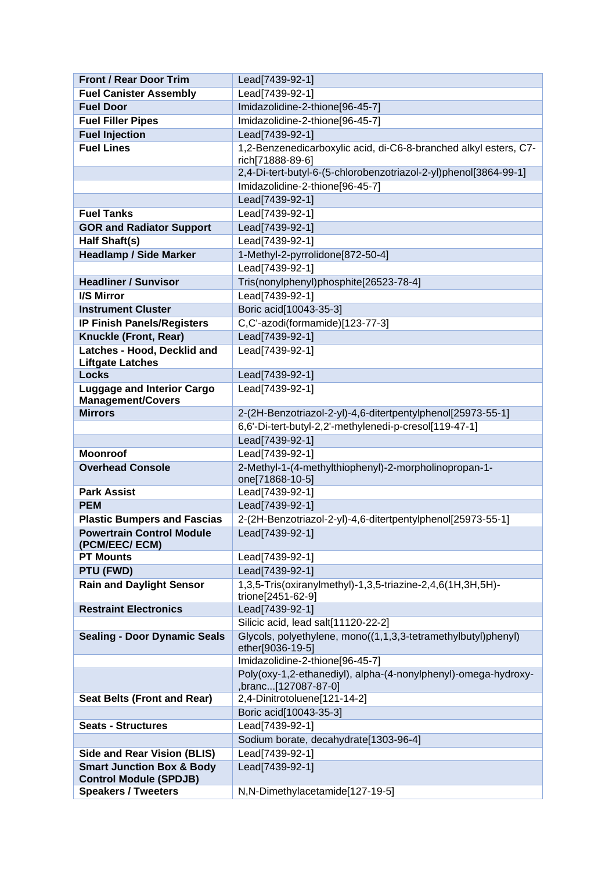| <b>Front / Rear Door Trim</b>                                         | Lead[7439-92-1]                                                                       |
|-----------------------------------------------------------------------|---------------------------------------------------------------------------------------|
| <b>Fuel Canister Assembly</b>                                         | Lead[7439-92-1]                                                                       |
| <b>Fuel Door</b>                                                      | Imidazolidine-2-thione[96-45-7]                                                       |
| <b>Fuel Filler Pipes</b>                                              | Imidazolidine-2-thione[96-45-7]                                                       |
| <b>Fuel Injection</b>                                                 | Lead[7439-92-1]                                                                       |
| <b>Fuel Lines</b>                                                     | 1,2-Benzenedicarboxylic acid, di-C6-8-branched alkyl esters, C7-                      |
|                                                                       | rich[71888-89-6]                                                                      |
|                                                                       | 2,4-Di-tert-butyl-6-(5-chlorobenzotriazol-2-yl)phenol[3864-99-1]                      |
|                                                                       | Imidazolidine-2-thione[96-45-7]                                                       |
|                                                                       | Lead[7439-92-1]                                                                       |
| <b>Fuel Tanks</b>                                                     | Lead[7439-92-1]                                                                       |
| <b>GOR and Radiator Support</b>                                       | Lead[7439-92-1]                                                                       |
| <b>Half Shaft(s)</b>                                                  | Lead[7439-92-1]                                                                       |
| <b>Headlamp / Side Marker</b>                                         | 1-Methyl-2-pyrrolidone[872-50-4]                                                      |
|                                                                       | Lead[7439-92-1]                                                                       |
| <b>Headliner / Sunvisor</b>                                           | Tris(nonylphenyl)phosphite[26523-78-4]                                                |
| I/S Mirror                                                            | Lead[7439-92-1]                                                                       |
| <b>Instrument Cluster</b>                                             | Boric acid[10043-35-3]                                                                |
| <b>IP Finish Panels/Registers</b>                                     | C,C'-azodi(formamide)[123-77-3]                                                       |
| Knuckle (Front, Rear)                                                 | Lead[7439-92-1]                                                                       |
| Latches - Hood, Decklid and<br><b>Liftgate Latches</b>                | Lead[7439-92-1]                                                                       |
| <b>Locks</b>                                                          | Lead[7439-92-1]                                                                       |
| <b>Luggage and Interior Cargo</b><br><b>Management/Covers</b>         | Lead[7439-92-1]                                                                       |
| <b>Mirrors</b>                                                        | 2-(2H-Benzotriazol-2-yl)-4,6-ditertpentylphenol[25973-55-1]                           |
|                                                                       | 6,6'-Di-tert-butyl-2,2'-methylenedi-p-cresol[119-47-1]                                |
|                                                                       | Lead[7439-92-1]                                                                       |
| <b>Moonroof</b>                                                       | Lead[7439-92-1]                                                                       |
| <b>Overhead Console</b>                                               | 2-Methyl-1-(4-methylthiophenyl)-2-morpholinopropan-1-                                 |
|                                                                       | one[71868-10-5]                                                                       |
| <b>Park Assist</b>                                                    | Lead[7439-92-1]                                                                       |
| <b>PEM</b>                                                            | Lead[7439-92-1]                                                                       |
| <b>Plastic Bumpers and Fascias</b>                                    | 2-(2H-Benzotriazol-2-yl)-4,6-ditertpentylphenol[25973-55-1]                           |
| <b>Powertrain Control Module</b><br>(PCM/EEC/ ECM)                    | Lead[7439-92-1]                                                                       |
| <b>PT Mounts</b>                                                      | Lead[7439-92-1]                                                                       |
| PTU (FWD)                                                             | Lead[7439-92-1]                                                                       |
| <b>Rain and Daylight Sensor</b>                                       | 1,3,5-Tris(oxiranylmethyl)-1,3,5-triazine-2,4,6(1H,3H,5H)-<br>trione[2451-62-9]       |
| <b>Restraint Electronics</b>                                          | Lead[7439-92-1]                                                                       |
|                                                                       | Silicic acid, lead salt[11120-22-2]                                                   |
| <b>Sealing - Door Dynamic Seals</b>                                   | Glycols, polyethylene, mono((1,1,3,3-tetramethylbutyl)phenyl)<br>ether[9036-19-5]     |
|                                                                       | Imidazolidine-2-thione[96-45-7]                                                       |
|                                                                       | Poly(oxy-1,2-ethanediyl), alpha-(4-nonylphenyl)-omega-hydroxy-<br>,branc[127087-87-0] |
| <b>Seat Belts (Front and Rear)</b>                                    | 2,4-Dinitrotoluene[121-14-2]                                                          |
|                                                                       | Boric acid[10043-35-3]                                                                |
| <b>Seats - Structures</b>                                             | Lead[7439-92-1]                                                                       |
|                                                                       | Sodium borate, decahydrate[1303-96-4]                                                 |
| <b>Side and Rear Vision (BLIS)</b>                                    | Lead[7439-92-1]                                                                       |
| <b>Smart Junction Box &amp; Body</b><br><b>Control Module (SPDJB)</b> | Lead[7439-92-1]                                                                       |
| <b>Speakers / Tweeters</b>                                            | N,N-Dimethylacetamide[127-19-5]                                                       |